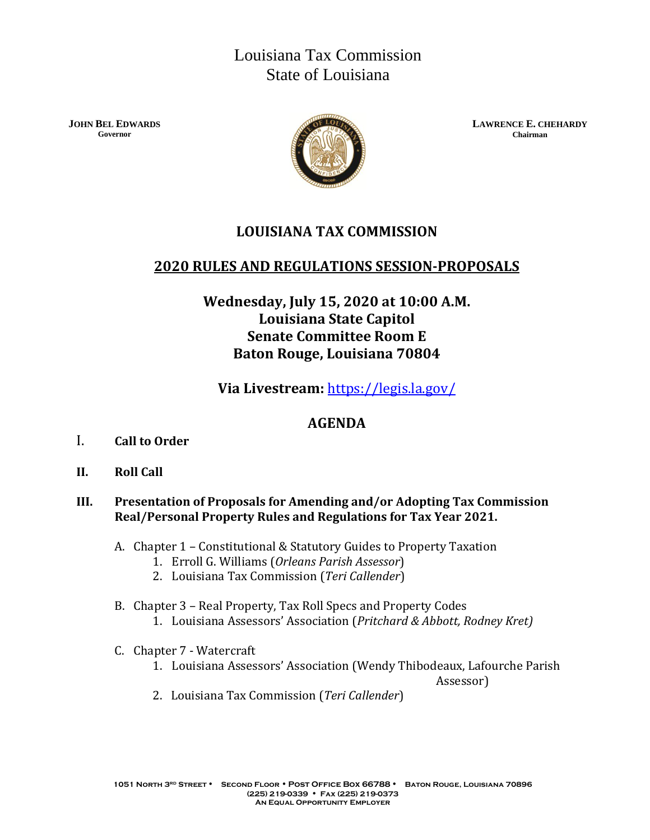# Louisiana Tax Commission State of Louisiana

**JOHN BEL EDWARDS Governor**



**LAWRENCE E. CHEHARDY Chairman**

# **LOUISIANA TAX COMMISSION**

### **2020 RULES AND REGULATIONS SESSION-PROPOSALS**

## **Wednesday, July 15, 2020 at 10:00 A.M. Louisiana State Capitol Senate Committee Room E Baton Rouge, Louisiana 70804**

**Via Livestream:** [https://legis.la.gov/](http://www.legis.state.la.us/)

### **AGENDA**

- I. **Call to Order**
- **II. Roll Call**

### **III. Presentation of Proposals for Amending and/or Adopting Tax Commission Real/Personal Property Rules and Regulations for Tax Year 2021.**

- A. Chapter 1 Constitutional & Statutory Guides to Property Taxation
	- 1. Erroll G. Williams (*Orleans Parish Assessor*)
	- 2. Louisiana Tax Commission (*Teri Callender*)
- B. Chapter 3 Real Property, Tax Roll Specs and Property Codes
	- 1. Louisiana Assessors' Association (*Pritchard & Abbott, Rodney Kret)*
- C. Chapter 7 Watercraft
	- 1. Louisiana Assessors' Association (Wendy Thibodeaux, Lafourche Parish

Assessor)

2. Louisiana Tax Commission (*Teri Callender*)